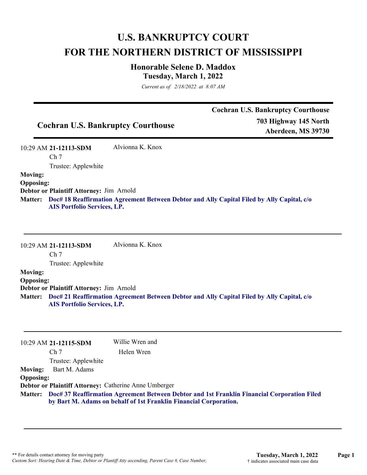# **U.S. BANKRUPTCY COURT FOR THE NORTHERN DISTRICT OF MISSISSIPPI**

# **Honorable Selene D. Maddox Tuesday, March 1, 2022**

*Current as of 2/18/2022 at 8:07 AM*

|                                           | <b>Cochran U.S. Bankruptcy Courthouse</b> |
|-------------------------------------------|-------------------------------------------|
| <b>Cochran U.S. Bankruptcy Courthouse</b> | 703 Highway 145 North                     |
|                                           | Aberdeen, MS 39730                        |

10:29 AM **21-12113-SDM**  Ch 7 Trustee: Applewhite Alvionna K. Knox

#### **Moving: Opposing:**

**Debtor or Plaintiff Attorney:** Jim Arnold

**Doc# 18 Reaffirmation Agreement Between Debtor and Ally Capital Filed by Ally Capital, c/o Matter: AIS Portfolio Services, LP.**

10:29 AM **21-12113-SDM**  Alvionna K. Knox

Ch 7

Trustee: Applewhite

### **Moving:**

**Opposing: Debtor or Plaintiff Attorney:** Jim Arnold **Doc# 21 Reaffirmation Agreement Between Debtor and Ally Capital Filed by Ally Capital, c/o Matter: AIS Portfolio Services, LP.**

|                  | $10:29$ AM 21-12115-SDM                                                                                                                                                  | Willie Wren and                                       |
|------------------|--------------------------------------------------------------------------------------------------------------------------------------------------------------------------|-------------------------------------------------------|
|                  | Ch <sub>7</sub>                                                                                                                                                          | Helen Wren                                            |
|                  | Trustee: Applewhite                                                                                                                                                      |                                                       |
| <b>Moving:</b>   | Bart M. Adams                                                                                                                                                            |                                                       |
| <b>Opposing:</b> |                                                                                                                                                                          |                                                       |
|                  |                                                                                                                                                                          | Debtor or Plaintiff Attorney: Catherine Anne Umberger |
|                  | Matter: Doc# 37 Reaffirmation Agreement Between Debtor and 1st Franklin Financial Corporation Filed<br>by Bart M. Adams on behalf of 1st Franklin Financial Corporation. |                                                       |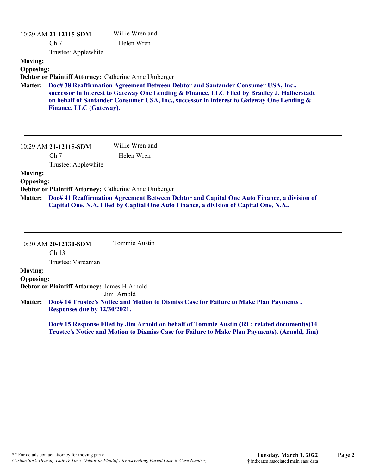|                                    | 10:29 AM 21-12115-SDM   | Willie Wren and                                                                                                                                                                                                                                                              |
|------------------------------------|-------------------------|------------------------------------------------------------------------------------------------------------------------------------------------------------------------------------------------------------------------------------------------------------------------------|
|                                    | Ch <sub>7</sub>         | Helen Wren                                                                                                                                                                                                                                                                   |
|                                    | Trustee: Applewhite     |                                                                                                                                                                                                                                                                              |
| <b>Moving:</b><br><b>Opposing:</b> |                         | Debtor or Plaintiff Attorney: Catherine Anne Umberger                                                                                                                                                                                                                        |
| <b>Matter:</b>                     | Finance, LLC (Gateway). | Doc# 38 Reaffirmation Agreement Between Debtor and Santander Consumer USA, Inc.,<br>successor in interest to Gateway One Lending & Finance, LLC Filed by Bradley J. Halberstadt<br>on behalf of Santander Consumer USA, Inc., successor in interest to Gateway One Lending & |
|                                    | 10:29 AM 21-12115-SDM   | Willie Wren and                                                                                                                                                                                                                                                              |
|                                    | Ch <sub>7</sub>         | Helen Wren                                                                                                                                                                                                                                                                   |
|                                    | Trustee: Applewhite     |                                                                                                                                                                                                                                                                              |
| <b>Moving:</b>                     |                         |                                                                                                                                                                                                                                                                              |
| <b>Opposing:</b>                   |                         |                                                                                                                                                                                                                                                                              |
|                                    |                         | Debtor or Plaintiff Attorney: Catherine Anne Umberger                                                                                                                                                                                                                        |
| <b>Matter:</b>                     |                         | Doc# 41 Reaffirmation Agreement Between Debtor and Capital One Auto Finance, a division of<br>Capital One, N.A. Filed by Capital One Auto Finance, a division of Capital One, N.A                                                                                            |

|                  | 10:30 AM 20-12130-SDM                        | Tommie Austin                                                                                                                                                                               |
|------------------|----------------------------------------------|---------------------------------------------------------------------------------------------------------------------------------------------------------------------------------------------|
|                  | Ch <sub>13</sub>                             |                                                                                                                                                                                             |
|                  | Trustee: Vardaman                            |                                                                                                                                                                                             |
| <b>Moving:</b>   |                                              |                                                                                                                                                                                             |
| <b>Opposing:</b> |                                              |                                                                                                                                                                                             |
|                  | Debtor or Plaintiff Attorney: James H Arnold |                                                                                                                                                                                             |
|                  |                                              | Jim Arnold                                                                                                                                                                                  |
| <b>Matter:</b>   | Responses due by 12/30/2021.                 | Doc# 14 Trustee's Notice and Motion to Dismiss Case for Failure to Make Plan Payments.                                                                                                      |
|                  |                                              | Doc# 15 Response Filed by Jim Arnold on behalf of Tommie Austin (RE: related document(s)14<br>Trustee's Notice and Motion to Dismiss Case for Failure to Make Plan Payments). (Arnold, Jim) |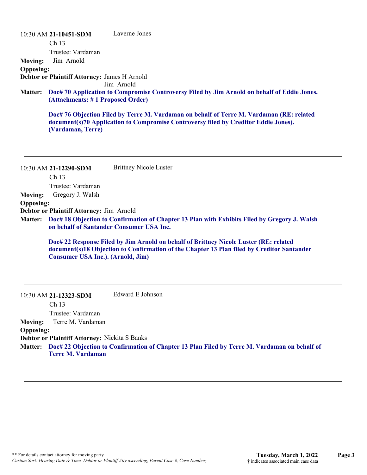10:30 AM **21-10451-SDM**  Ch 13 Trustee: Vardaman Laverne Jones **Moving:** Jim Arnold **Opposing: Debtor or Plaintiff Attorney:** James H Arnold Jim Arnold **Doc# 70 Application to Compromise Controversy Filed by Jim Arnold on behalf of Eddie Jones. Matter: (Attachments: # 1 Proposed Order) Doc# 76 Objection Filed by Terre M. Vardaman on behalf of Terre M. Vardaman (RE: related document(s)70 Application to Compromise Controversy filed by Creditor Eddie Jones). (Vardaman, Terre)** 10:30 AM **21-12290-SDM**  Ch 13 Trustee: Vardaman Brittney Nicole Luster **Moving:** Gregory J. Walsh **Opposing: Debtor or Plaintiff Attorney:** Jim Arnold **Doc# 18 Objection to Confirmation of Chapter 13 Plan with Exhibits Filed by Gregory J. Walsh Matter: on behalf of Santander Consumer USA Inc. Doc# 22 Response Filed by Jim Arnold on behalf of Brittney Nicole Luster (RE: related document(s)18 Objection to Confirmation of the Chapter 13 Plan filed by Creditor Santander Consumer USA Inc.). (Arnold, Jim)** 10:30 AM **21-12323-SDM**  Ch 13 Trustee: Vardaman Edward E Johnson **Moving:** Terre M. Vardaman **Opposing: Debtor or Plaintiff Attorney:** Nickita S Banks

**Doc# 22 Objection to Confirmation of Chapter 13 Plan Filed by Terre M. Vardaman on behalf of Matter: Terre M. Vardaman**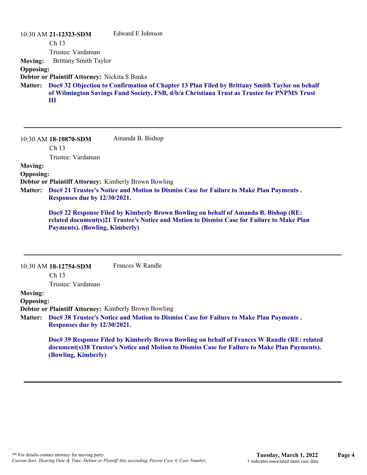|                  | 10:30 AM 21-12323-SDM                         | Edward E Johnson                                                                                                                                                                                    |
|------------------|-----------------------------------------------|-----------------------------------------------------------------------------------------------------------------------------------------------------------------------------------------------------|
|                  | Ch <sub>13</sub>                              |                                                                                                                                                                                                     |
|                  | Trustee: Vardaman                             |                                                                                                                                                                                                     |
| <b>Moving:</b>   | <b>Brittany Smith Taylor</b>                  |                                                                                                                                                                                                     |
| <b>Opposing:</b> |                                               |                                                                                                                                                                                                     |
|                  | Debtor or Plaintiff Attorney: Nickita S Banks |                                                                                                                                                                                                     |
|                  | Ш                                             | Matter: Doc# 32 Objection to Confirmation of Chapter 13 Plan Filed by Brittany Smith Taylor on behalf<br>of Wilmington Savings Fund Society, FSB, d/b/a Christiana Trust as Trustee for PNPMS Trust |

10:30 AM **18-10870-SDM**  Amanda B. Bishop

Ch 13

Trustee: Vardaman

#### **Moving:**

# **Opposing:**

**Debtor or Plaintiff Attorney:** Kimberly Brown Bowling

**Doc# 21 Trustee's Notice and Motion to Dismiss Case for Failure to Make Plan Payments . Matter: Responses due by 12/30/2021.**

**Doc# 22 Response Filed by Kimberly Brown Bowling on behalf of Amanda B. Bishop (RE: related document(s)21 Trustee's Notice and Motion to Dismiss Case for Failure to Make Plan Payments). (Bowling, Kimberly)**

|                  | $10:30$ AM $18-12754$ -SDM   | Frances W Randle                                                                                                                                                                             |
|------------------|------------------------------|----------------------------------------------------------------------------------------------------------------------------------------------------------------------------------------------|
|                  | Ch <sub>13</sub>             |                                                                                                                                                                                              |
|                  | Trustee: Vardaman            |                                                                                                                                                                                              |
| <b>Moving:</b>   |                              |                                                                                                                                                                                              |
| <b>Opposing:</b> |                              |                                                                                                                                                                                              |
|                  |                              | Debtor or Plaintiff Attorney: Kimberly Brown Bowling                                                                                                                                         |
|                  |                              | Matter: Doc# 38 Trustee's Notice and Motion to Dismiss Case for Failure to Make Plan Payments.                                                                                               |
|                  | Responses due by 12/30/2021. |                                                                                                                                                                                              |
|                  | (Bowling, Kimberly)          | Doc# 39 Response Filed by Kimberly Brown Bowling on behalf of Frances W Randle (RE: related<br>document(s)38 Trustee's Notice and Motion to Dismiss Case for Failure to Make Plan Payments). |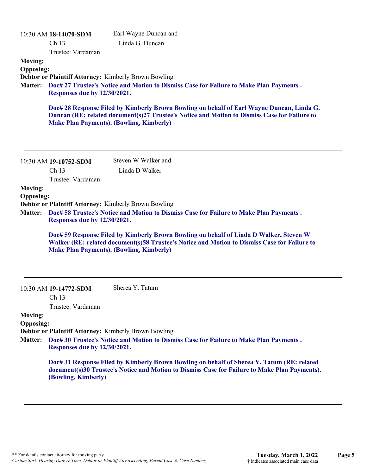|                                                      | 10:30 AM 18-14070-SDM<br>Ch 13<br>Trustee: Vardaman                                                                                                                            | Earl Wayne Duncan and<br>Linda G. Duncan                                                                                                                                                    |  |
|------------------------------------------------------|--------------------------------------------------------------------------------------------------------------------------------------------------------------------------------|---------------------------------------------------------------------------------------------------------------------------------------------------------------------------------------------|--|
| <b>Moving:</b><br><b>Opposing:</b><br><b>Matter:</b> | <b>Responses due by 12/30/2021.</b>                                                                                                                                            | <b>Debtor or Plaintiff Attorney: Kimberly Brown Bowling</b><br>Doc# 27 Trustee's Notice and Motion to Dismiss Case for Failure to Make Plan Payments.                                       |  |
|                                                      | <b>Make Plan Payments). (Bowling, Kimberly)</b>                                                                                                                                | Doc# 28 Response Filed by Kimberly Brown Bowling on behalf of Earl Wayne Duncan, Linda G.<br>Duncan (RE: related document(s)27 Trustee's Notice and Motion to Dismiss Case for Failure to   |  |
|                                                      | 10:30 AM 19-10752-SDM<br>Ch 13                                                                                                                                                 | Steven W Walker and<br>Linda D Walker                                                                                                                                                       |  |
|                                                      | Trustee: Vardaman                                                                                                                                                              |                                                                                                                                                                                             |  |
| <b>Moving:</b>                                       |                                                                                                                                                                                |                                                                                                                                                                                             |  |
| <b>Opposing:</b>                                     |                                                                                                                                                                                |                                                                                                                                                                                             |  |
| <b>Matter:</b>                                       | Debtor or Plaintiff Attorney: Kimberly Brown Bowling<br>Doc# 58 Trustee's Notice and Motion to Dismiss Case for Failure to Make Plan Payments.<br>Responses due by 12/30/2021. |                                                                                                                                                                                             |  |
|                                                      | <b>Make Plan Payments). (Bowling, Kimberly)</b>                                                                                                                                | Doc# 59 Response Filed by Kimberly Brown Bowling on behalf of Linda D Walker, Steven W<br>Walker (RE: related document(s)58 Trustee's Notice and Motion to Dismiss Case for Failure to      |  |
|                                                      | 10:30 AM 19-14772-SDM<br>Ch 13                                                                                                                                                 | Sherea Y. Tatum                                                                                                                                                                             |  |
|                                                      | Trustee: Vardaman                                                                                                                                                              |                                                                                                                                                                                             |  |
| <b>Moving:</b>                                       |                                                                                                                                                                                |                                                                                                                                                                                             |  |
| <b>Opposing:</b>                                     |                                                                                                                                                                                | <b>Debtor or Plaintiff Attorney: Kimberly Brown Bowling</b>                                                                                                                                 |  |
| <b>Matter:</b>                                       | Responses due by 12/30/2021.                                                                                                                                                   | Doc# 30 Trustee's Notice and Motion to Dismiss Case for Failure to Make Plan Payments.                                                                                                      |  |
|                                                      | (Bowling, Kimberly)                                                                                                                                                            | Doc# 31 Response Filed by Kimberly Brown Bowling on behalf of Sherea Y. Tatum (RE: related<br>document(s)30 Trustee's Notice and Motion to Dismiss Case for Failure to Make Plan Payments). |  |
|                                                      |                                                                                                                                                                                |                                                                                                                                                                                             |  |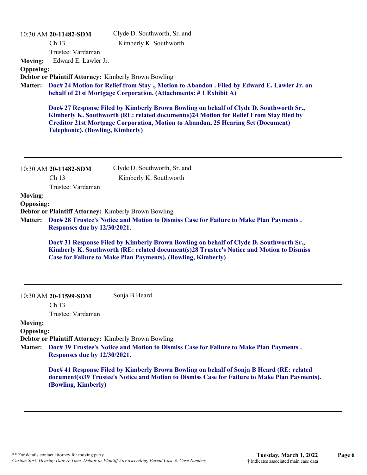| <b>Moving:</b><br><b>Opposing:</b><br><b>Matter:</b> | 10:30 AM 20-11482-SDM<br>Ch 13<br>Trustee: Vardaman<br>Edward E. Lawler Jr.<br><b>Debtor or Plaintiff Attorney: Kimberly Brown Bowling</b><br><b>Telephonic). (Bowling, Kimberly)</b> | Clyde D. Southworth, Sr. and<br>Kimberly K. Southworth<br>Doc# 24 Motion for Relief from Stay., Motion to Abandon. Filed by Edward E. Lawler Jr. on<br>behalf of 21st Mortgage Corporation. (Attachments: #1 Exhibit A)<br>Doc# 27 Response Filed by Kimberly Brown Bowling on behalf of Clyde D. Southworth Sr.,<br>Kimberly K. Southworth (RE: related document(s)24 Motion for Relief From Stay filed by<br><b>Creditor 21st Mortgage Corporation, Motion to Abandon, 25 Hearing Set (Document)</b> |
|------------------------------------------------------|---------------------------------------------------------------------------------------------------------------------------------------------------------------------------------------|--------------------------------------------------------------------------------------------------------------------------------------------------------------------------------------------------------------------------------------------------------------------------------------------------------------------------------------------------------------------------------------------------------------------------------------------------------------------------------------------------------|
|                                                      | 10:30 AM 20-11482-SDM<br>Ch <sub>13</sub><br>Trustee: Vardaman                                                                                                                        | Clyde D. Southworth, Sr. and<br>Kimberly K. Southworth                                                                                                                                                                                                                                                                                                                                                                                                                                                 |
| <b>Moving:</b>                                       |                                                                                                                                                                                       |                                                                                                                                                                                                                                                                                                                                                                                                                                                                                                        |
| <b>Opposing:</b>                                     |                                                                                                                                                                                       |                                                                                                                                                                                                                                                                                                                                                                                                                                                                                                        |
| <b>Matter:</b>                                       | Debtor or Plaintiff Attorney: Kimberly Brown Bowling<br>Responses due by 12/30/2021.                                                                                                  | Doc# 28 Trustee's Notice and Motion to Dismiss Case for Failure to Make Plan Payments.                                                                                                                                                                                                                                                                                                                                                                                                                 |
|                                                      |                                                                                                                                                                                       | Doc# 31 Response Filed by Kimberly Brown Bowling on behalf of Clyde D. Southworth Sr.,<br>Kimberly K. Southworth (RE: related document(s)28 Trustee's Notice and Motion to Dismiss<br><b>Case for Failure to Make Plan Payments). (Bowling, Kimberly)</b>                                                                                                                                                                                                                                              |
|                                                      | 10:30 AM 20-11599-SDM<br>Ch 13                                                                                                                                                        | Sonja B Heard                                                                                                                                                                                                                                                                                                                                                                                                                                                                                          |
| <b>Moving:</b>                                       | Trustee: Vardaman                                                                                                                                                                     |                                                                                                                                                                                                                                                                                                                                                                                                                                                                                                        |
| <b>Opposing:</b>                                     |                                                                                                                                                                                       |                                                                                                                                                                                                                                                                                                                                                                                                                                                                                                        |
|                                                      | Debtor or Plaintiff Attorney: Kimberly Brown Bowling                                                                                                                                  |                                                                                                                                                                                                                                                                                                                                                                                                                                                                                                        |
| <b>Matter:</b>                                       | Responses due by 12/30/2021.                                                                                                                                                          | Doc# 39 Trustee's Notice and Motion to Dismiss Case for Failure to Make Plan Payments.                                                                                                                                                                                                                                                                                                                                                                                                                 |
|                                                      | (Bowling, Kimberly)                                                                                                                                                                   | Doc# 41 Response Filed by Kimberly Brown Bowling on behalf of Sonja B Heard (RE: related<br>document(s)39 Trustee's Notice and Motion to Dismiss Case for Failure to Make Plan Payments).                                                                                                                                                                                                                                                                                                              |
|                                                      |                                                                                                                                                                                       |                                                                                                                                                                                                                                                                                                                                                                                                                                                                                                        |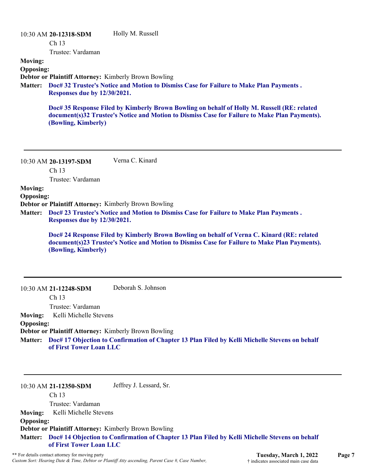|                                                      | 10:30 AM 20-12318-SDM<br>Ch <sub>13</sub><br>Trustee: Vardaman | Holly M. Russell                                                                                                                                                                             |
|------------------------------------------------------|----------------------------------------------------------------|----------------------------------------------------------------------------------------------------------------------------------------------------------------------------------------------|
| <b>Moving:</b><br><b>Opposing:</b><br><b>Matter:</b> | Responses due by 12/30/2021.                                   | Debtor or Plaintiff Attorney: Kimberly Brown Bowling<br>Doc# 32 Trustee's Notice and Motion to Dismiss Case for Failure to Make Plan Payments.                                               |
|                                                      | (Bowling, Kimberly)                                            | Doc# 35 Response Filed by Kimberly Brown Bowling on behalf of Holly M. Russell (RE: related<br>document(s)32 Trustee's Notice and Motion to Dismiss Case for Failure to Make Plan Payments). |
|                                                      | 10:30 AM 20-13197-SDM<br>Ch <sub>13</sub><br>Trustee: Vardaman | Verna C. Kinard                                                                                                                                                                              |
| <b>Moving:</b><br><b>Opposing:</b><br><b>Matter:</b> | Responses due by 12/30/2021.                                   | Debtor or Plaintiff Attorney: Kimberly Brown Bowling<br>Doc# 23 Trustee's Notice and Motion to Dismiss Case for Failure to Make Plan Payments.                                               |
|                                                      | (Bowling, Kimberly)                                            | Doc# 24 Response Filed by Kimberly Brown Bowling on behalf of Verna C. Kinard (RE: related<br>document(s)23 Trustee's Notice and Motion to Dismiss Case for Failure to Make Plan Payments).  |
|                                                      | 10:30 AM 21-12248-SDM                                          | Deborah S. Johnson                                                                                                                                                                           |

Ch 13

Trustee: Vardaman

**Moving:** Kelli Michelle Stevens

# **Opposing:**

**Debtor or Plaintiff Attorney:** Kimberly Brown Bowling

**Doc# 17 Objection to Confirmation of Chapter 13 Plan Filed by Kelli Michelle Stevens on behalf Matter: of First Tower Loan LLC**

10:30 AM **21-12350-SDM** 

Jeffrey J. Lessard, Sr.

Ch 13 Trustee: Vardaman **Moving:** Kelli Michelle Stevens **Opposing: Debtor or Plaintiff Attorney:** Kimberly Brown Bowling **Doc# 14 Objection to Confirmation of Chapter 13 Plan Filed by Kelli Michelle Stevens on behalf Matter: of First Tower Loan LLC**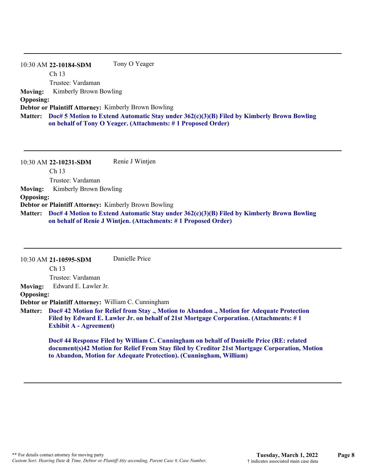|                  | Tony O Yeager<br>10:30 AM 22-10184-SDM                                                                                                                            |
|------------------|-------------------------------------------------------------------------------------------------------------------------------------------------------------------|
|                  | Ch <sub>13</sub>                                                                                                                                                  |
|                  | Trustee: Vardaman                                                                                                                                                 |
|                  | <b>Moving:</b> Kimberly Brown Bowling                                                                                                                             |
| <b>Opposing:</b> |                                                                                                                                                                   |
|                  | <b>Debtor or Plaintiff Attorney: Kimberly Brown Bowling</b>                                                                                                       |
|                  | Matter: Doc# 5 Motion to Extend Automatic Stay under 362(c)(3)(B) Filed by Kimberly Brown Bowling<br>on behalf of Tony O Yeager. (Attachments: #1 Proposed Order) |

|                  | 10:30 AM 22-10231-SDM                                       | Renie J Wintjen                                                                                                                                                     |
|------------------|-------------------------------------------------------------|---------------------------------------------------------------------------------------------------------------------------------------------------------------------|
|                  | Ch <sub>13</sub>                                            |                                                                                                                                                                     |
|                  | Trustee: Vardaman                                           |                                                                                                                                                                     |
| <b>Moving:</b>   | Kimberly Brown Bowling                                      |                                                                                                                                                                     |
| <b>Opposing:</b> |                                                             |                                                                                                                                                                     |
|                  | <b>Debtor or Plaintiff Attorney: Kimberly Brown Bowling</b> |                                                                                                                                                                     |
|                  |                                                             | Matter: Doc# 4 Motion to Extend Automatic Stay under 362(c)(3)(B) Filed by Kimberly Brown Bowling<br>on behalf of Renie J Wintjen. (Attachments: #1 Proposed Order) |

|                  | 10:30 AM 21-10595-SDM                                      | Danielle Price                                                                                                                                                                                                                                                  |
|------------------|------------------------------------------------------------|-----------------------------------------------------------------------------------------------------------------------------------------------------------------------------------------------------------------------------------------------------------------|
|                  | Ch <sub>13</sub>                                           |                                                                                                                                                                                                                                                                 |
|                  | Trustee: Vardaman                                          |                                                                                                                                                                                                                                                                 |
| <b>Moving:</b>   | Edward E. Lawler Jr.                                       |                                                                                                                                                                                                                                                                 |
| <b>Opposing:</b> |                                                            |                                                                                                                                                                                                                                                                 |
|                  | <b>Debtor or Plaintiff Attorney: William C. Cunningham</b> |                                                                                                                                                                                                                                                                 |
| <b>Matter:</b>   | <b>Exhibit A - Agreement</b> )                             | Doc# 42 Motion for Relief from Stay., Motion to Abandon., Motion for Adequate Protection<br>Filed by Edward E. Lawler Jr. on behalf of 21st Mortgage Corporation. (Attachments: #1                                                                              |
|                  |                                                            | Doc# 44 Response Filed by William C. Cunningham on behalf of Danielle Price (RE: related<br>document(s)42 Motion for Relief From Stay filed by Creditor 21st Mortgage Corporation, Motion<br>to Abandon, Motion for Adequate Protection). (Cunningham, William) |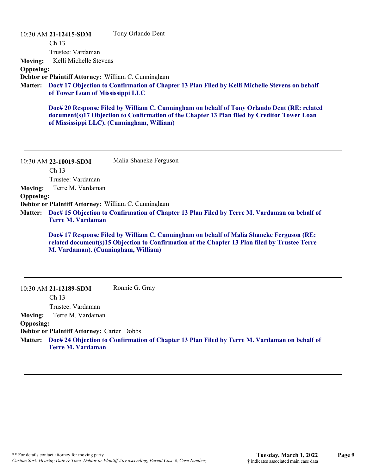10:30 AM **21-12415-SDM**  Tony Orlando Dent

Ch 13

Trustee: Vardaman

**Moving:** Kelli Michelle Stevens

**Opposing:**

**Debtor or Plaintiff Attorney:** William C. Cunningham

**Doc# 17 Objection to Confirmation of Chapter 13 Plan Filed by Kelli Michelle Stevens on behalf Matter: of Tower Loan of Mississippi LLC**

**Doc# 20 Response Filed by William C. Cunningham on behalf of Tony Orlando Dent (RE: related document(s)17 Objection to Confirmation of the Chapter 13 Plan filed by Creditor Tower Loan of Mississippi LLC). (Cunningham, William)**

10:30 AM **22-10019-SDM**  Ch 13 Trustee: Vardaman Malia Shaneke Ferguson **Moving:** Terre M. Vardaman **Opposing: Debtor or Plaintiff Attorney:** William C. Cunningham **Doc# 15 Objection to Confirmation of Chapter 13 Plan Filed by Terre M. Vardaman on behalf of Matter: Terre M. Vardaman Doc# 17 Response Filed by William C. Cunningham on behalf of Malia Shaneke Ferguson (RE: related document(s)15 Objection to Confirmation of the Chapter 13 Plan filed by Trustee Terre M. Vardaman). (Cunningham, William)**

10:30 AM **21-12189-SDM**  Ch 13 Trustee: Vardaman Ronnie G. Gray **Moving:** Terre M. Vardaman **Opposing: Debtor or Plaintiff Attorney:** Carter Dobbs **Doc# 24 Objection to Confirmation of Chapter 13 Plan Filed by Terre M. Vardaman on behalf of Matter: Terre M. Vardaman**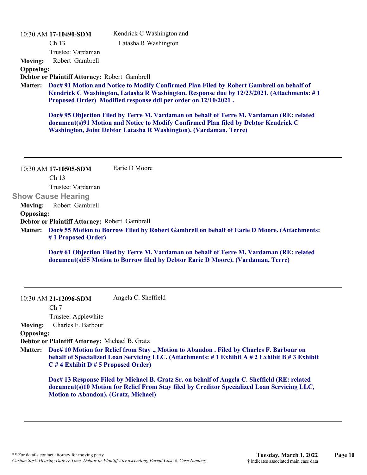|                  | 10:30 AM 17-10490-SDM                                           | Kendrick C Washington and                                                                                                                                                                                                                               |
|------------------|-----------------------------------------------------------------|---------------------------------------------------------------------------------------------------------------------------------------------------------------------------------------------------------------------------------------------------------|
|                  | Ch <sub>13</sub>                                                | Latasha R Washington                                                                                                                                                                                                                                    |
|                  | Trustee: Vardaman                                               |                                                                                                                                                                                                                                                         |
| <b>Moving:</b>   | Robert Gambrell                                                 |                                                                                                                                                                                                                                                         |
| <b>Opposing:</b> |                                                                 |                                                                                                                                                                                                                                                         |
|                  | Debtor or Plaintiff Attorney: Robert Gambrell                   |                                                                                                                                                                                                                                                         |
| <b>Matter:</b>   |                                                                 | Doc# 91 Motion and Notice to Modify Confirmed Plan Filed by Robert Gambrell on behalf of<br>Kendrick C Washington, Latasha R Washington. Response due by 12/23/2021. (Attachments: #1<br>Proposed Order) Modified response ddl per order on 12/10/2021. |
|                  |                                                                 | Doc# 95 Objection Filed by Terre M. Vardaman on behalf of Terre M. Vardaman (RE: related<br>document(s)91 Motion and Notice to Modify Confirmed Plan filed by Debtor Kendrick C<br>Washington, Joint Debtor Latasha R Washington). (Vardaman, Terre)    |
|                  | 10:30 AM 17-10505-SDM<br>Ch <sub>13</sub><br>Trustee: Vardaman  | Earie D Moore                                                                                                                                                                                                                                           |
|                  | <b>Show Cause Hearing</b>                                       |                                                                                                                                                                                                                                                         |
| <b>Moving:</b>   | Robert Gambrell                                                 |                                                                                                                                                                                                                                                         |
| <b>Opposing:</b> |                                                                 |                                                                                                                                                                                                                                                         |
|                  | Debtor or Plaintiff Attorney: Robert Gambrell                   |                                                                                                                                                                                                                                                         |
| <b>Matter:</b>   | #1 Proposed Order)                                              | Doc# 55 Motion to Borrow Filed by Robert Gambrell on behalf of Earie D Moore. (Attachments:                                                                                                                                                             |
|                  |                                                                 | Doc# 61 Objection Filed by Terre M. Vardaman on behalf of Terre M. Vardaman (RE: related<br>document(s)55 Motion to Borrow filed by Debtor Earie D Moore). (Vardaman, Terre)                                                                            |
|                  | 10:30 AM 21-12096-SDM<br>Ch <sub>7</sub><br>Trustee: Applewhite | Angela C. Sheffield                                                                                                                                                                                                                                     |
| <b>Moving:</b>   | Charles F. Barbour                                              |                                                                                                                                                                                                                                                         |
| <b>Opposing:</b> |                                                                 |                                                                                                                                                                                                                                                         |
|                  | Debtor or Plaintiff Attorney: Michael B. Gratz                  |                                                                                                                                                                                                                                                         |
| <b>Matter:</b>   | $C \# 4$ Exhibit D $\# 5$ Proposed Order)                       | Doc# 10 Motion for Relief from Stay., Motion to Abandon. Filed by Charles F. Barbour on<br>behalf of Specialized Loan Servicing LLC. (Attachments: #1 Exhibit A #2 Exhibit B #3 Exhibit                                                                 |
|                  | <b>Motion to Abandon). (Gratz, Michael)</b>                     | Doc# 13 Response Filed by Michael B. Gratz Sr. on behalf of Angela C. Sheffield (RE: related<br>document(s)10 Motion for Relief From Stay filed by Creditor Specialized Loan Servicing LLC,                                                             |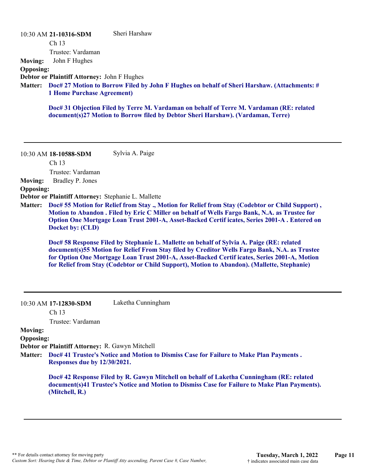| <b>Moving:</b><br><b>Opposing:</b><br><b>Matter:</b> | 10:30 AM 21-10316-SDM<br>Ch 13<br>Trustee: Vardaman<br>John F Hughes<br>Debtor or Plaintiff Attorney: John F Hughes<br><b>1 Home Purchase Agreement)</b> | Sheri Harshaw<br>Doc# 27 Motion to Borrow Filed by John F Hughes on behalf of Sheri Harshaw. (Attachments: #<br>Doc# 31 Objection Filed by Terre M. Vardaman on behalf of Terre M. Vardaman (RE: related<br>document(s)27 Motion to Borrow filed by Debtor Sheri Harshaw). (Vardaman, Terre)                                                                                                                                                                                                                                                                                                                                                                                                   |
|------------------------------------------------------|----------------------------------------------------------------------------------------------------------------------------------------------------------|------------------------------------------------------------------------------------------------------------------------------------------------------------------------------------------------------------------------------------------------------------------------------------------------------------------------------------------------------------------------------------------------------------------------------------------------------------------------------------------------------------------------------------------------------------------------------------------------------------------------------------------------------------------------------------------------|
|                                                      | 10:30 AM 18-10588-SDM<br>Ch 13                                                                                                                           | Sylvia A. Paige                                                                                                                                                                                                                                                                                                                                                                                                                                                                                                                                                                                                                                                                                |
| <b>Moving:</b><br><b>Opposing:</b><br><b>Matter:</b> | Trustee: Vardaman<br>Bradley P. Jones<br>Debtor or Plaintiff Attorney: Stephanie L. Mallette<br>Docket by: (CLD)                                         | Doc# 55 Motion for Relief from Stay ., Motion for Relief from Stay (Codebtor or Child Support),<br>Motion to Abandon . Filed by Eric C Miller on behalf of Wells Fargo Bank, N.A. as Trustee for<br>Option One Mortgage Loan Trust 2001-A, Asset-Backed Certif icates, Series 2001-A . Entered on<br>Doc# 58 Response Filed by Stephanie L. Mallette on behalf of Sylvia A. Paige (RE: related<br>document(s)55 Motion for Relief From Stay filed by Creditor Wells Fargo Bank, N.A. as Trustee<br>for Option One Mortgage Loan Trust 2001-A, Asset-Backed Certif icates, Series 2001-A, Motion<br>for Relief from Stay (Codebtor or Child Support), Motion to Abandon). (Mallette, Stephanie) |
|                                                      | 10:30 AM 17-12830-SDM<br>Ch <sub>13</sub><br>Trustee: Vardaman                                                                                           | Laketha Cunningham                                                                                                                                                                                                                                                                                                                                                                                                                                                                                                                                                                                                                                                                             |
| <b>Moving:</b><br><b>Opposing:</b><br><b>Matter:</b> | Debtor or Plaintiff Attorney: R. Gawyn Mitchell<br>Responses due by 12/30/2021.<br>(Mitchell, R.)                                                        | Doc# 41 Trustee's Notice and Motion to Dismiss Case for Failure to Make Plan Payments.<br>Doc# 42 Response Filed by R. Gawyn Mitchell on behalf of Laketha Cunningham (RE: related<br>document(s)41 Trustee's Notice and Motion to Dismiss Case for Failure to Make Plan Payments).                                                                                                                                                                                                                                                                                                                                                                                                            |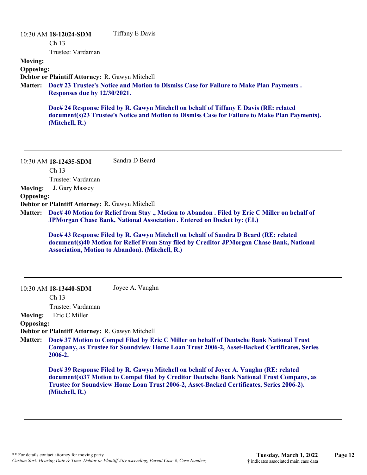|                                                                                                                                          | 10:30 AM 18-12024-SDM                                  | Tiffany E Davis                                                                                                                                                                        |
|------------------------------------------------------------------------------------------------------------------------------------------|--------------------------------------------------------|----------------------------------------------------------------------------------------------------------------------------------------------------------------------------------------|
|                                                                                                                                          | Ch <sub>13</sub>                                       |                                                                                                                                                                                        |
|                                                                                                                                          | Trustee: Vardaman                                      |                                                                                                                                                                                        |
| <b>Moving:</b>                                                                                                                           |                                                        |                                                                                                                                                                                        |
| <b>Opposing:</b>                                                                                                                         |                                                        |                                                                                                                                                                                        |
|                                                                                                                                          | <b>Debtor or Plaintiff Attorney: R. Gawyn Mitchell</b> |                                                                                                                                                                                        |
| Doc# 23 Trustee's Notice and Motion to Dismiss Case for Failure to Make Plan Payments.<br><b>Matter:</b><br>Responses due by 12/30/2021. |                                                        |                                                                                                                                                                                        |
|                                                                                                                                          | (Mitchell, R.)                                         | Doc# 24 Response Filed by R. Gawyn Mitchell on behalf of Tiffany E Davis (RE: related<br>document(s)23 Trustee's Notice and Motion to Dismiss Case for Failure to Make Plan Payments). |
|                                                                                                                                          |                                                        |                                                                                                                                                                                        |

10:30 AM **18-12435-SDM**  Ch 13 Trustee: Vardaman Sandra D Beard **Moving:** J. Gary Massey **Opposing: Debtor or Plaintiff Attorney:** R. Gawyn Mitchell **Doc# 40 Motion for Relief from Stay ., Motion to Abandon . Filed by Eric C Miller on behalf of Matter: JPMorgan Chase Bank, National Association . Entered on Docket by: (EL) Doc# 43 Response Filed by R. Gawyn Mitchell on behalf of Sandra D Beard (RE: related document(s)40 Motion for Relief From Stay filed by Creditor JPMorgan Chase Bank, National Association, Motion to Abandon). (Mitchell, R.)** 10:30 AM **18-13440-SDM**  Ch 13 Joyce A. Vaughn

Trustee: Vardaman

**Moving:** Eric C Miller

# **Opposing:**

**Debtor or Plaintiff Attorney:** R. Gawyn Mitchell

**Doc# 37 Motion to Compel Filed by Eric C Miller on behalf of Deutsche Bank National Trust Company, as Trustee for Soundview Home Loan Trust 2006-2, Asset-Backed Certificates, Series 2006-2. Matter:**

**Doc# 39 Response Filed by R. Gawyn Mitchell on behalf of Joyce A. Vaughn (RE: related document(s)37 Motion to Compel filed by Creditor Deutsche Bank National Trust Company, as Trustee for Soundview Home Loan Trust 2006-2, Asset-Backed Certificates, Series 2006-2). (Mitchell, R.)**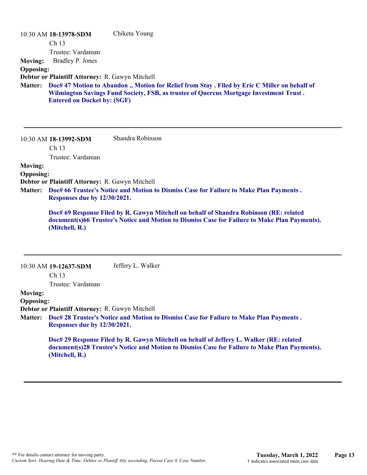|                  | 10:30 AM 18-13978-SDM                           | Chiketa Young                                                                                                                                                                            |
|------------------|-------------------------------------------------|------------------------------------------------------------------------------------------------------------------------------------------------------------------------------------------|
|                  | Ch <sub>13</sub>                                |                                                                                                                                                                                          |
|                  | Trustee: Vardaman                               |                                                                                                                                                                                          |
| <b>Moving:</b>   | Bradley P. Jones                                |                                                                                                                                                                                          |
| <b>Opposing:</b> |                                                 |                                                                                                                                                                                          |
|                  | Debtor or Plaintiff Attorney: R. Gawyn Mitchell |                                                                                                                                                                                          |
| <b>Matter:</b>   | <b>Entered on Docket by: (SGF)</b>              | Doc# 47 Motion to Abandon ., Motion for Relief from Stay . Filed by Eric C Miller on behalf of<br>Wilmington Savings Fund Society, FSB, as trustee of Quercus Mortgage Investment Trust. |

10:30 AM **18-13992-SDM**  Shandra Robinson

Ch 13

Trustee: Vardaman

# **Moving:**

# **Opposing:**

**Debtor or Plaintiff Attorney:** R. Gawyn Mitchell

**Doc# 66 Trustee's Notice and Motion to Dismiss Case for Failure to Make Plan Payments . Matter: Responses due by 12/30/2021.**

**Doc# 69 Response Filed by R. Gawyn Mitchell on behalf of Shandra Robinson (RE: related document(s)66 Trustee's Notice and Motion to Dismiss Case for Failure to Make Plan Payments). (Mitchell, R.)**

|                  | 10:30 AM 19-12637-SDM                           | Jeffery L. Walker                                                                                                                                                                        |
|------------------|-------------------------------------------------|------------------------------------------------------------------------------------------------------------------------------------------------------------------------------------------|
|                  | Ch <sub>13</sub>                                |                                                                                                                                                                                          |
|                  | Trustee: Vardaman                               |                                                                                                                                                                                          |
| <b>Moving:</b>   |                                                 |                                                                                                                                                                                          |
| <b>Opposing:</b> |                                                 |                                                                                                                                                                                          |
|                  | Debtor or Plaintiff Attorney: R. Gawyn Mitchell |                                                                                                                                                                                          |
| <b>Matter:</b>   |                                                 | Doc# 28 Trustee's Notice and Motion to Dismiss Case for Failure to Make Plan Payments.                                                                                                   |
|                  | Responses due by 12/30/2021.                    |                                                                                                                                                                                          |
|                  | (Mitchell, R.)                                  | Doc# 29 Response Filed by R. Gawyn Mitchell on behalf of Jeffery L. Walker (RE: related<br>document(s)28 Trustee's Notice and Motion to Dismiss Case for Failure to Make Plan Payments). |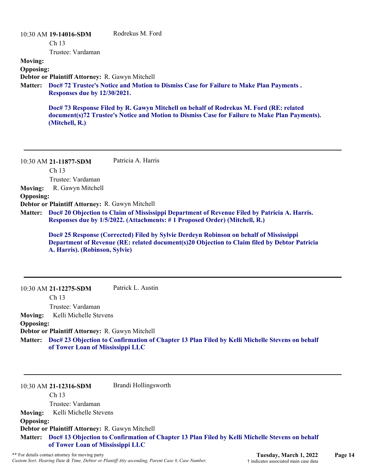# 10:30 AM **19-14016-SDM**  Ch 13 Trustee: Vardaman Rodrekus M. Ford **Moving: Opposing: Debtor or Plaintiff Attorney:** R. Gawyn Mitchell **Doc# 72 Trustee's Notice and Motion to Dismiss Case for Failure to Make Plan Payments . Matter: Responses due by 12/30/2021. Doc# 73 Response Filed by R. Gawyn Mitchell on behalf of Rodrekus M. Ford (RE: related document(s)72 Trustee's Notice and Motion to Dismiss Case for Failure to Make Plan Payments). (Mitchell, R.)**

10:30 AM **21-11877-SDM**  Ch 13 Trustee: Vardaman Patricia A. Harris **Moving:** R. Gawyn Mitchell **Opposing: Debtor or Plaintiff Attorney:** R. Gawyn Mitchell **Doc# 20 Objection to Claim of Mississippi Department of Revenue Filed by Patricia A. Harris. Matter: Responses due by 1/5/2022. (Attachments: # 1 Proposed Order) (Mitchell, R.) Doc# 25 Response (Corrected) Filed by Sylvie Derdeyn Robinson on behalf of Mississippi Department of Revenue (RE: related document(s)20 Objection to Claim filed by Debtor Patricia**

**A. Harris). (Robinson, Sylvie)**

10:30 AM **21-12275-SDM**  Ch 13 Trustee: Vardaman Patrick L. Austin **Moving:** Kelli Michelle Stevens **Opposing: Debtor or Plaintiff Attorney:** R. Gawyn Mitchell

**Doc# 23 Objection to Confirmation of Chapter 13 Plan Filed by Kelli Michelle Stevens on behalf Matter: of Tower Loan of Mississippi LLC**

10:30 AM **21-12316-SDM** 

Brandi Hollingsworth

Ch 13 Trustee: Vardaman **Moving:** Kelli Michelle Stevens **Opposing: Debtor or Plaintiff Attorney:** R. Gawyn Mitchell **Doc# 13 Objection to Confirmation of Chapter 13 Plan Filed by Kelli Michelle Stevens on behalf Matter: of Tower Loan of Mississippi LLC**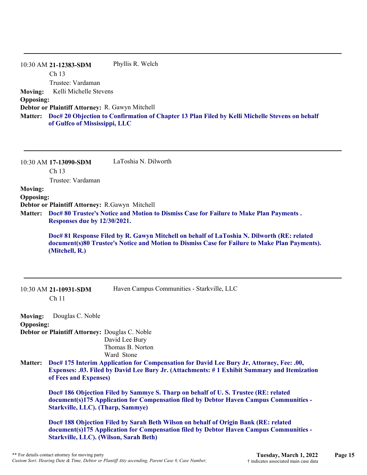|                  | 10:30 AM 21-12383-SDM                                  | Phyllis R. Welch                                                                                       |
|------------------|--------------------------------------------------------|--------------------------------------------------------------------------------------------------------|
|                  | Ch <sub>13</sub>                                       |                                                                                                        |
|                  | Trustee: Vardaman                                      |                                                                                                        |
| <b>Moving:</b>   | Kelli Michelle Stevens                                 |                                                                                                        |
| <b>Opposing:</b> |                                                        |                                                                                                        |
|                  | <b>Debtor or Plaintiff Attorney: R. Gawyn Mitchell</b> |                                                                                                        |
|                  | of Gulfco of Mississippi, LLC                          | Matter: Doc# 20 Objection to Confirmation of Chapter 13 Plan Filed by Kelli Michelle Stevens on behalf |

| 10:30 AM 17-13090-SDM | LaToshia N. Dilworth |
|-----------------------|----------------------|
| Ch <sub>13</sub>      |                      |
| Trustee: Vardaman     |                      |
|                       |                      |

# **Moving:**

**Opposing:**

**Debtor or Plaintiff Attorney:** R.Gawyn Mitchell

**Doc# 80 Trustee's Notice and Motion to Dismiss Case for Failure to Make Plan Payments . Matter: Responses due by 12/30/2021.**

**Doc# 81 Response Filed by R. Gawyn Mitchell on behalf of LaToshia N. Dilworth (RE: related document(s)80 Trustee's Notice and Motion to Dismiss Case for Failure to Make Plan Payments). (Mitchell, R.)**

| $10:30$ AM 21-10931-SDM |
|-------------------------|
| Ch <sub>11</sub>        |

Haven Campus Communities - Starkville, LLC

**Moving:** Douglas C. Noble **Opposing: Debtor or Plaintiff Attorney:** Douglas C. Noble David Lee Bury Thomas B. Norton Ward Stone

**Doc# 175 Interim Application for Compensation for David Lee Bury Jr, Attorney, Fee: .00, Matter: Expenses: .03. Filed by David Lee Bury Jr. (Attachments: # 1 Exhibit Summary and Itemization of Fees and Expenses)**

**Doc# 186 Objection Filed by Sammye S. Tharp on behalf of U. S. Trustee (RE: related document(s)175 Application for Compensation filed by Debtor Haven Campus Communities - Starkville, LLC). (Tharp, Sammye)**

**Doc# 188 Objection Filed by Sarah Beth Wilson on behalf of Origin Bank (RE: related document(s)175 Application for Compensation filed by Debtor Haven Campus Communities - Starkville, LLC). (Wilson, Sarah Beth)**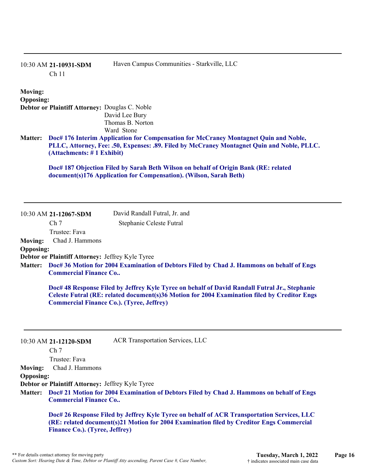|                                    | 10:30 AM 21-10931-SDM<br>Ch <sub>11</sub>                                        | Haven Campus Communities - Starkville, LLC                                                                                                                                                    |
|------------------------------------|----------------------------------------------------------------------------------|-----------------------------------------------------------------------------------------------------------------------------------------------------------------------------------------------|
| <b>Moving:</b><br><b>Opposing:</b> | Debtor or Plaintiff Attorney: Douglas C. Noble                                   | David Lee Bury<br>Thomas B. Norton<br>Ward Stone                                                                                                                                              |
| <b>Matter:</b>                     | (Attachments: #1 Exhibit)                                                        | Doc# 176 Interim Application for Compensation for McCraney Montagnet Quin and Noble,<br>PLLC, Attorney, Fee: .50, Expenses: .89. Filed by McCraney Montagnet Quin and Noble, PLLC.            |
|                                    |                                                                                  | Doc# 187 Objection Filed by Sarah Beth Wilson on behalf of Origin Bank (RE: related<br>document(s)176 Application for Compensation). (Wilson, Sarah Beth)                                     |
|                                    | 10:30 AM 21-12067-SDM                                                            | David Randall Futral, Jr. and                                                                                                                                                                 |
|                                    | Ch <sub>7</sub>                                                                  | Stephanie Celeste Futral                                                                                                                                                                      |
| <b>Moving:</b>                     | Trustee: Fava<br>Chad J. Hammons                                                 |                                                                                                                                                                                               |
| <b>Opposing:</b>                   |                                                                                  |                                                                                                                                                                                               |
| <b>Matter:</b>                     | Debtor or Plaintiff Attorney: Jeffrey Kyle Tyree<br><b>Commercial Finance Co</b> | Doc# 36 Motion for 2004 Examination of Debtors Filed by Chad J. Hammons on behalf of Engs                                                                                                     |
|                                    | <b>Commercial Finance Co.). (Tyree, Jeffrey)</b>                                 | Doc# 48 Response Filed by Jeffrey Kyle Tyree on behalf of David Randall Futral Jr., Stephanie<br>Celeste Futral (RE: related document(s)36 Motion for 2004 Examination filed by Creditor Engs |
|                                    | 10:30 AM 21-12120-SDM                                                            | <b>ACR Transportation Services, LLC</b>                                                                                                                                                       |
|                                    | Ch <sub>7</sub><br>Trustee: Fava                                                 |                                                                                                                                                                                               |
| <b>Moving:</b>                     | Chad J. Hammons                                                                  |                                                                                                                                                                                               |
| <b>Opposing:</b>                   |                                                                                  |                                                                                                                                                                                               |
|                                    | Debtor or Plaintiff Attorney: Jeffrey Kyle Tyree                                 |                                                                                                                                                                                               |

**Doc# 21 Motion for 2004 Examination of Debtors Filed by Chad J. Hammons on behalf of Engs Matter: Commercial Finance Co..**

**Doc# 26 Response Filed by Jeffrey Kyle Tyree on behalf of ACR Transportation Services, LLC (RE: related document(s)21 Motion for 2004 Examination filed by Creditor Engs Commercial Finance Co.). (Tyree, Jeffrey)**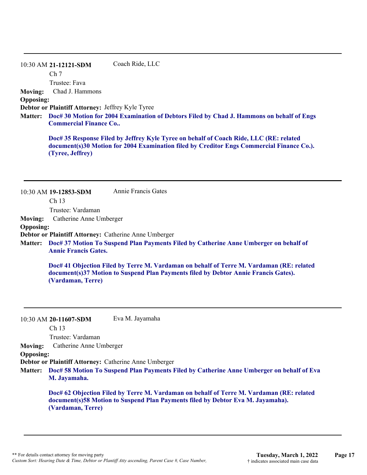#### 10:30 AM **21-12121-SDM**  Coach Ride, LLC

Ch 7

Trustee: Fava

**Moving:** Chad J. Hammons

**Opposing:**

**Debtor or Plaintiff Attorney:** Jeffrey Kyle Tyree

**Doc# 30 Motion for 2004 Examination of Debtors Filed by Chad J. Hammons on behalf of Engs Matter: Commercial Finance Co..**

**Doc# 35 Response Filed by Jeffrey Kyle Tyree on behalf of Coach Ride, LLC (RE: related document(s)30 Motion for 2004 Examination filed by Creditor Engs Commercial Finance Co.). (Tyree, Jeffrey)**

|                  | 10:30 AM 19-12853-SDM                                 | Annie Francis Gates                                                                                                                                                             |
|------------------|-------------------------------------------------------|---------------------------------------------------------------------------------------------------------------------------------------------------------------------------------|
|                  | Ch <sub>13</sub>                                      |                                                                                                                                                                                 |
|                  | Trustee: Vardaman                                     |                                                                                                                                                                                 |
| Moving:          | Catherine Anne Umberger                               |                                                                                                                                                                                 |
| <b>Opposing:</b> |                                                       |                                                                                                                                                                                 |
|                  | Debtor or Plaintiff Attorney: Catherine Anne Umberger |                                                                                                                                                                                 |
|                  | <b>Annie Francis Gates.</b>                           | Matter: Doc# 37 Motion To Suspend Plan Payments Filed by Catherine Anne Umberger on behalf of                                                                                   |
|                  |                                                       | Doc# 41 Objection Filed by Terre M. Vardaman on behalf of Terre M. Vardaman (RE: related<br>document(s)37 Motion to Suspend Plan Payments filed by Debtor Annie Francis Gates). |

**(Vardaman, Terre)**

10:30 AM **20-11607-SDM**  Ch 13 Eva M. Jayamaha

Trustee: Vardaman

**Moving:** Catherine Anne Umberger

**Opposing:**

**Debtor or Plaintiff Attorney:** Catherine Anne Umberger

**Doc# 58 Motion To Suspend Plan Payments Filed by Catherine Anne Umberger on behalf of Eva Matter: M. Jayamaha.**

**Doc# 62 Objection Filed by Terre M. Vardaman on behalf of Terre M. Vardaman (RE: related document(s)58 Motion to Suspend Plan Payments filed by Debtor Eva M. Jayamaha). (Vardaman, Terre)**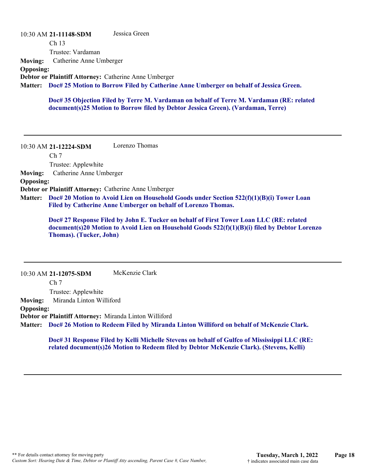|                  | 10:30 AM 21-11148-SDM                                 | Jessica Green                                                                                 |
|------------------|-------------------------------------------------------|-----------------------------------------------------------------------------------------------|
|                  | Ch <sub>13</sub>                                      |                                                                                               |
|                  | Trustee: Vardaman                                     |                                                                                               |
| <b>Moving:</b>   | Catherine Anne Umberger                               |                                                                                               |
| <b>Opposing:</b> |                                                       |                                                                                               |
|                  | Debtor or Plaintiff Attorney: Catherine Anne Umberger |                                                                                               |
|                  |                                                       | Matter: Doc# 25 Motion to Borrow Filed by Catherine Anne Umberger on behalf of Jessica Green. |
|                  |                                                       |                                                                                               |

**Doc# 35 Objection Filed by Terre M. Vardaman on behalf of Terre M. Vardaman (RE: related document(s)25 Motion to Borrow filed by Debtor Jessica Green). (Vardaman, Terre)**

10:30 AM **21-12224-SDM**  Ch 7 Trustee: Applewhite Lorenzo Thomas **Moving:** Catherine Anne Umberger **Opposing: Debtor or Plaintiff Attorney:** Catherine Anne Umberger **Doc# 20 Motion to Avoid Lien on Household Goods under Section 522(f)(1)(B)(i) Tower Loan Matter: Filed by Catherine Anne Umberger on behalf of Lorenzo Thomas.**

> **Doc# 27 Response Filed by John E. Tucker on behalf of First Tower Loan LLC (RE: related document(s)20 Motion to Avoid Lien on Household Goods 522(f)(1)(B)(i) filed by Debtor Lorenzo Thomas). (Tucker, John)**

10:30 AM **21-12075-SDM**  Ch<sub>7</sub> Trustee: Applewhite McKenzie Clark **Moving:** Miranda Linton Williford **Opposing: Debtor or Plaintiff Attorney:** Miranda Linton Williford **Doc# 26 Motion to Redeem Filed by Miranda Linton Williford on behalf of McKenzie Clark. Matter:**

**Doc# 31 Response Filed by Kelli Michelle Stevens on behalf of Gulfco of Mississippi LLC (RE: related document(s)26 Motion to Redeem filed by Debtor McKenzie Clark). (Stevens, Kelli)**